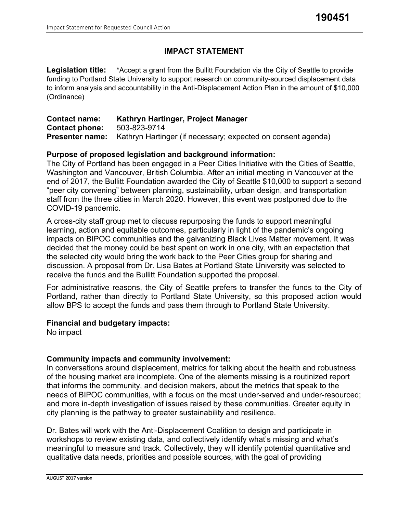## **IMPACT STATEMENT**

Legislation title: \*Accept a grant from the Bullitt Foundation via the City of Seattle to provide funding to Portland State University to support research on community-sourced displacement data to inform analysis and accountability in the Anti-Displacement Action Plan in the amount of \$10,000 (Ordinance)

| <b>Contact name:</b>  | Kathryn Hartinger, Project Manager                                                  |
|-----------------------|-------------------------------------------------------------------------------------|
| <b>Contact phone:</b> | 503-823-9714                                                                        |
|                       | <b>Presenter name:</b> Kathryn Hartinger (if necessary; expected on consent agenda) |

#### **Purpose of proposed legislation and background information:**

The City of Portland has been engaged in a Peer Cities Initiative with the Cities of Seattle, Washington and Vancouver, British Columbia. After an initial meeting in Vancouver at the end of 2017, the Bullitt Foundation awarded the City of Seattle \$10,000 to support a second "peer city convening" between planning, sustainability, urban design, and transportation staff from the three cities in March 2020. However, this event was postponed due to the COVID-19 pandemic.

A cross-city staff group met to discuss repurposing the funds to support meaningful learning, action and equitable outcomes, particularly in light of the pandemic's ongoing impacts on BIPOC communities and the galvanizing Black Lives Matter movement. It was decided that the money could be best spent on work in one city, with an expectation that the selected city would bring the work back to the Peer Cities group for sharing and discussion. A proposal from Dr. Lisa Bates at Portland State University was selected to receive the funds and the Bullitt Foundation supported the proposal.

For administrative reasons, the City of Seattle prefers to transfer the funds to the City of Portland, rather than directly to Portland State University, so this proposed action would allow BPS to accept the funds and pass them through to Portland State University.

#### **Financial and budgetary impacts:**

No impact

#### **Community impacts and community involvement:**

In conversations around displacement, metrics for talking about the health and robustness of the housing market are incomplete. One of the elements missing is a routinized report that informs the community, and decision makers, about the metrics that speak to the needs of BIPOC communities, with a focus on the most under-served and under-resourced; and more in-depth investigation of issues raised by these communities. Greater equity in city planning is the pathway to greater sustainability and resilience.

Dr. Bates will work with the Anti-Displacement Coalition to design and participate in workshops to review existing data, and collectively identify what's missing and what's meaningful to measure and track. Collectively, they will identify potential quantitative and qualitative data needs, priorities and possible sources, with the goal of providing